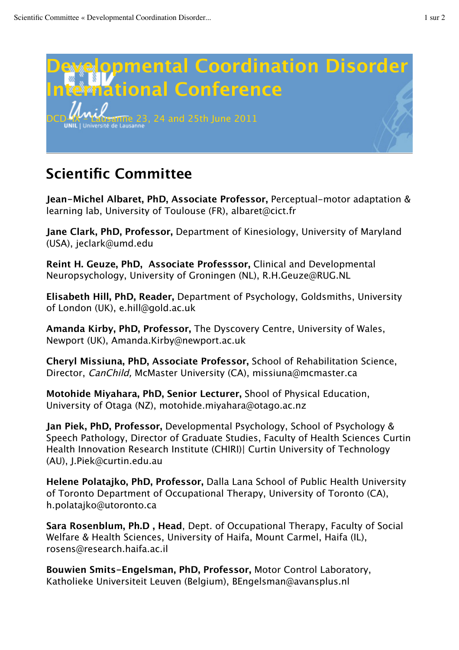

## **Scientific Committee**

**Jean-Michel Albaret, PhD, Associate Professor,** Perceptual-motor adaptation & learning lab, University of Toulouse (FR), albaret@cict.fr

**Jane Clark, PhD, Professor,** Department of Kinesiology, University of Maryland (USA), jeclark@umd.edu

**Reint H. Geuze, PhD, Associate Professsor,** Clinical and Developmental Neuropsychology, University of Groningen (NL), R.H.Geuze@RUG.NL

**Elisabeth Hill, PhD, Reader,** Department of Psychology, Goldsmiths, University of London (UK), e.hill@gold.ac.uk

**Amanda Kirby, PhD, Professor,** The Dyscovery Centre, University of Wales, Newport (UK), Amanda.Kirby@newport.ac.uk

**Cheryl Missiuna, PhD, Associate Professor,** School of Rehabilitation Science, Director, CanChild, McMaster University (CA), missiuna@mcmaster.ca

**Motohide Miyahara, PhD, Senior Lecturer,** Shool of Physical Education, University of Otaga (NZ), motohide.miyahara@otago.ac.nz

**Jan Piek, PhD, Professor,** Developmental Psychology, School of Psychology & Speech Pathology, Director of Graduate Studies, Faculty of Health Sciences Curtin Health Innovation Research Institute (CHIRI)| Curtin University of Technology (AU), J.Piek@curtin.edu.au

**Helene Polatajko, PhD, Professor,** Dalla Lana School of Public Health University of Toronto Department of Occupational Therapy, University of Toronto (CA), h.polatajko@utoronto.ca

**Sara Rosenblum, Ph.D , Head**, Dept. of Occupational Therapy, Faculty of Social Welfare & Health Sciences, University of Haifa, Mount Carmel, Haifa (IL), rosens@research.haifa.ac.il

**Bouwien Smits-Engelsman, PhD, Professor,** Motor Control Laboratory, Katholieke Universiteit Leuven (Belgium), BEngelsman@avansplus.nl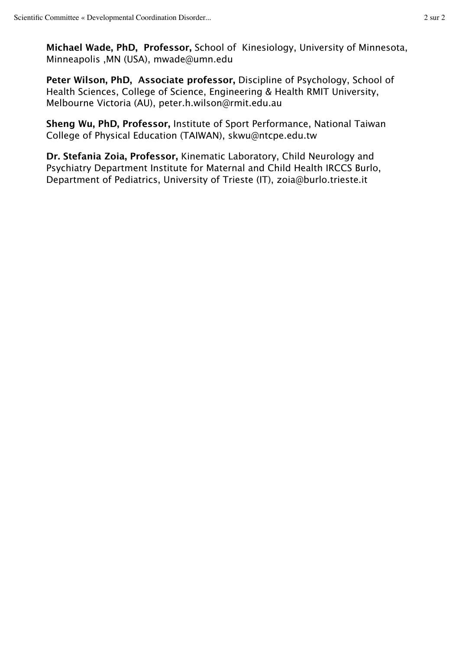**Michael Wade, PhD, Professor,** School of Kinesiology, University of Minnesota, Minneapolis ,MN (USA), mwade@umn.edu

**Peter Wilson, PhD, Associate professor,** Discipline of Psychology, School of Health Sciences, College of Science, Engineering & Health RMIT University, Melbourne Victoria (AU), peter.h.wilson@rmit.edu.au

**Sheng Wu, PhD, Professor,** Institute of Sport Performance, National Taiwan College of Physical Education (TAIWAN), skwu@ntcpe.edu.tw

**Dr. Stefania Zoia, Professor,** Kinematic Laboratory, Child Neurology and Psychiatry Department Institute for Maternal and Child Health IRCCS Burlo, Department of Pediatrics, University of Trieste (IT), zoia@burlo.trieste.it